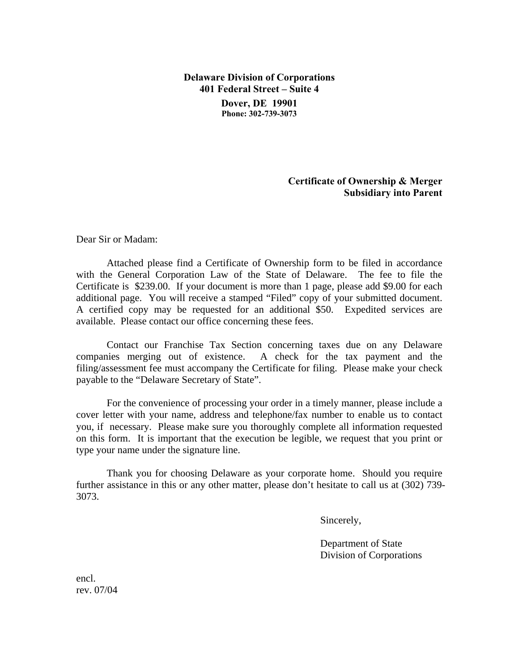**Delaware Division of Corporations 401 Federal Street – Suite 4 Dover, DE 19901 Phone: 302-739-3073**

## **Certificate of Ownership & Merger Subsidiary into Parent**

Dear Sir or Madam:

Attached please find a Certificate of Ownership form to be filed in accordance with the General Corporation Law of the State of Delaware. The fee to file the Certificate is \$239.00. If your document is more than 1 page, please add \$9.00 for each additional page. You will receive a stamped "Filed" copy of your submitted document. A certified copy may be requested for an additional \$50. Expedited services are available. Please contact our office concerning these fees.

Contact our Franchise Tax Section concerning taxes due on any Delaware companies merging out of existence. A check for the tax payment and the filing/assessment fee must accompany the Certificate for filing. Please make your check payable to the "Delaware Secretary of State".

For the convenience of processing your order in a timely manner, please include a cover letter with your name, address and telephone/fax number to enable us to contact you, if necessary. Please make sure you thoroughly complete all information requested on this form. It is important that the execution be legible, we request that you print or type your name under the signature line.

Thank you for choosing Delaware as your corporate home. Should you require further assistance in this or any other matter, please don't hesitate to call us at (302) 739- 3073.

Sincerely,

 Department of State Division of Corporations

encl. rev. 07/04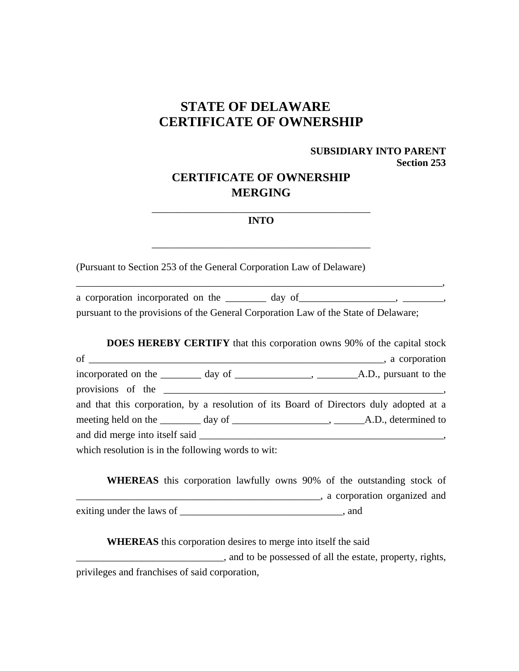# **STATE OF DELAWARE CERTIFICATE OF OWNERSHIP**

## **SUBSIDIARY INTO PARENT Section 253**

 $\overline{\phantom{a}}$ 

# **CERTIFICATE OF OWNERSHIP MERGING**

### \_\_\_\_\_\_\_\_\_\_\_\_\_\_\_\_\_\_\_\_\_\_\_\_\_\_\_\_\_\_\_\_\_\_\_\_\_\_\_\_\_\_\_ **INTO**

 $\frac{1}{\sqrt{2}}$  ,  $\frac{1}{\sqrt{2}}$  ,  $\frac{1}{\sqrt{2}}$  ,  $\frac{1}{\sqrt{2}}$  ,  $\frac{1}{\sqrt{2}}$  ,  $\frac{1}{\sqrt{2}}$  ,  $\frac{1}{\sqrt{2}}$  ,  $\frac{1}{\sqrt{2}}$  ,  $\frac{1}{\sqrt{2}}$  ,  $\frac{1}{\sqrt{2}}$  ,  $\frac{1}{\sqrt{2}}$  ,  $\frac{1}{\sqrt{2}}$  ,  $\frac{1}{\sqrt{2}}$  ,  $\frac{1}{\sqrt{2}}$  ,  $\frac{1}{\sqrt{2}}$ 

(Pursuant to Section 253 of the General Corporation Law of Delaware)

a corporation incorporated on the \_\_\_\_\_\_\_ day of \_\_\_\_\_\_\_\_\_\_\_\_\_\_\_, \_\_\_\_\_\_\_\_, pursuant to the provisions of the General Corporation Law of the State of Delaware;

|                                                                                        |  | <b>DOES HEREBY CERTIFY</b> that this corporation owns 90% of the capital stock |
|----------------------------------------------------------------------------------------|--|--------------------------------------------------------------------------------|
|                                                                                        |  |                                                                                |
|                                                                                        |  |                                                                                |
|                                                                                        |  |                                                                                |
| and that this corporation, by a resolution of its Board of Directors duly adopted at a |  |                                                                                |
|                                                                                        |  |                                                                                |
|                                                                                        |  |                                                                                |
| which resolution is in the following words to wit:                                     |  |                                                                                |

**WHEREAS** this corporation lawfully owns 90% of the outstanding stock of \_\_\_\_\_\_\_\_\_\_\_\_\_\_\_\_\_\_\_\_\_\_\_\_\_\_\_\_\_\_\_\_\_\_\_\_\_\_\_\_\_\_\_\_\_\_\_\_, a corporation organized and exiting under the laws of \_\_\_\_\_\_\_\_\_\_\_\_\_\_\_\_\_\_\_\_\_\_\_\_\_\_\_\_\_\_\_\_, and

**WHEREAS** this corporation desires to merge into itself the said

 $\Box$ privileges and franchises of said corporation,